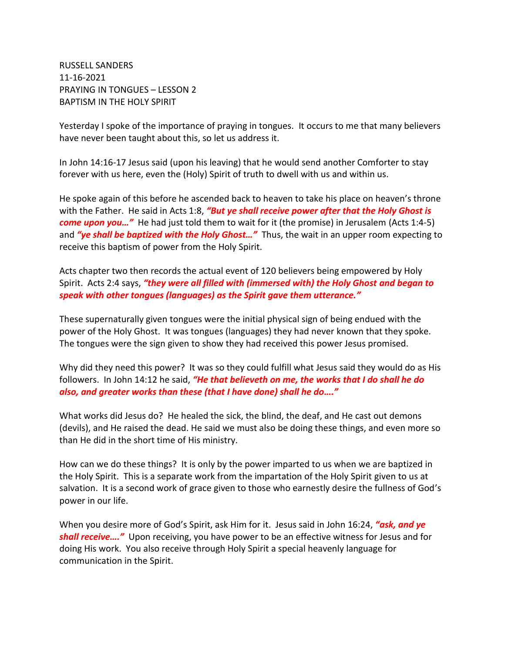RUSSELL SANDERS 11-16-2021 PRAYING IN TONGUES – LESSON 2 BAPTISM IN THE HOLY SPIRIT

Yesterday I spoke of the importance of praying in tongues. It occurs to me that many believers have never been taught about this, so let us address it.

In John 14:16-17 Jesus said (upon his leaving) that he would send another Comforter to stay forever with us here, even the (Holy) Spirit of truth to dwell with us and within us.

He spoke again of this before he ascended back to heaven to take his place on heaven's throne with the Father. He said in Acts 1:8, *"But ye shall receive power after that the Holy Ghost is come upon you…"* He had just told them to wait for it (the promise) in Jerusalem (Acts 1:4-5) and *"ye shall be baptized with the Holy Ghost…"* Thus, the wait in an upper room expecting to receive this baptism of power from the Holy Spirit.

Acts chapter two then records the actual event of 120 believers being empowered by Holy Spirit. Acts 2:4 says, *"they were all filled with (immersed with) the Holy Ghost and began to speak with other tongues (languages) as the Spirit gave them utterance."*

These supernaturally given tongues were the initial physical sign of being endued with the power of the Holy Ghost. It was tongues (languages) they had never known that they spoke. The tongues were the sign given to show they had received this power Jesus promised.

Why did they need this power? It was so they could fulfill what Jesus said they would do as His followers. In John 14:12 he said, *"He that believeth on me, the works that I do shall he do also, and greater works than these (that I have done) shall he do…."*

What works did Jesus do? He healed the sick, the blind, the deaf, and He cast out demons (devils), and He raised the dead. He said we must also be doing these things, and even more so than He did in the short time of His ministry.

How can we do these things? It is only by the power imparted to us when we are baptized in the Holy Spirit. This is a separate work from the impartation of the Holy Spirit given to us at salvation. It is a second work of grace given to those who earnestly desire the fullness of God's power in our life.

When you desire more of God's Spirit, ask Him for it. Jesus said in John 16:24, *"ask, and ye shall receive…."* Upon receiving, you have power to be an effective witness for Jesus and for doing His work. You also receive through Holy Spirit a special heavenly language for communication in the Spirit.